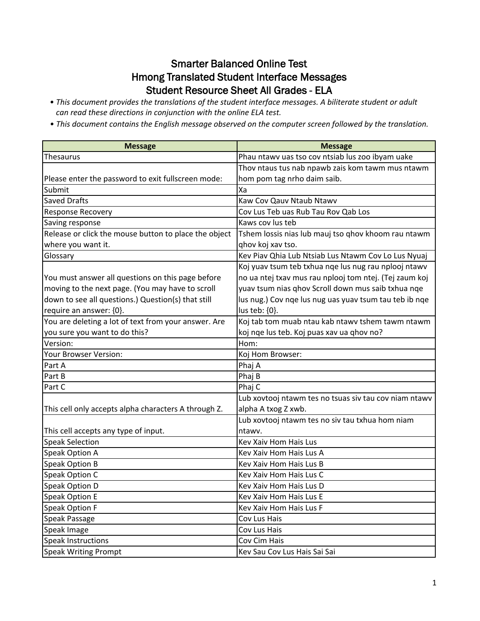## Smarter Balanced Online Test Hmong Translated Student Interface Messages Student Resource Sheet All Grades - ELA

- This document provides the translations of the student interface messages. A biliterate student or adult *can read these directions in conjunction with the online ELA test.*
- *This* document contains the English message observed on the computer screen followed by the translation.

| <b>Message</b>                                        | <b>Message</b>                                         |
|-------------------------------------------------------|--------------------------------------------------------|
| Thesaurus                                             | Phau ntawv uas tso cov ntsiab lus zoo ibyam uake       |
|                                                       | Thov ntaus tus nab npawb zais kom tawm mus ntawm       |
| Please enter the password to exit fullscreen mode:    | hom pom tag nrho daim saib.                            |
| Submit                                                | Xa                                                     |
| <b>Saved Drafts</b>                                   | Kaw Cov Qauv Ntaub Ntawv                               |
| <b>Response Recovery</b>                              | Cov Lus Teb uas Rub Tau Rov Qab Los                    |
| Saving response                                       | Kaws cov lus teb                                       |
| Release or click the mouse button to place the object | Tshem lossis nias lub mauj tso qhov khoom rau ntawm    |
| where you want it.                                    | ghov koj xav tso.                                      |
| Glossary                                              | Kev Piav Qhia Lub Ntsiab Lus Ntawm Cov Lo Lus Nyuaj    |
|                                                       | Koj yuav tsum teb txhua nge lus nug rau nplooj ntawv   |
| You must answer all questions on this page before     | no ua ntej txav mus rau nplooj tom ntej. (Tej zaum koj |
| moving to the next page. (You may have to scroll      | yuav tsum nias qhov Scroll down mus saib txhua nqe     |
| down to see all questions.) Question(s) that still    | lus nug.) Cov nqe lus nug uas yuav tsum tau teb ib nqe |
| require an answer: {0}.                               | lus teb: {0}.                                          |
| You are deleting a lot of text from your answer. Are  | Koj tab tom muab ntau kab ntawv tshem tawm ntawm       |
| you sure you want to do this?                         | koj nge lus teb. Koj puas xav ua ghov no?              |
| Version:                                              | Hom:                                                   |
| Your Browser Version:                                 | Koj Hom Browser:                                       |
| Part A                                                | Phaj A                                                 |
| Part B                                                | Phaj B                                                 |
| Part C                                                | Phaj C                                                 |
|                                                       | Lub xovtooj ntawm tes no tsuas siv tau cov niam ntawv  |
| This cell only accepts alpha characters A through Z.  | alpha A txog Z xwb.                                    |
|                                                       | Lub xovtooj ntawm tes no siv tau txhua hom niam        |
| This cell accepts any type of input.                  | ntawv.                                                 |
| <b>Speak Selection</b>                                | <b>Kev Xaiv Hom Hais Lus</b>                           |
| Speak Option A                                        | Kev Xaiv Hom Hais Lus A                                |
| Speak Option B                                        | Kev Xaiv Hom Hais Lus B                                |
| Speak Option C                                        | Key Xaiy Hom Hais Lus C                                |
| Speak Option D                                        | Kev Xaiv Hom Hais Lus D                                |
| Speak Option E                                        | Kev Xaiv Hom Hais Lus E                                |
| Speak Option F                                        | Kev Xaiv Hom Hais Lus F                                |
| Speak Passage                                         | Cov Lus Hais                                           |
| Speak Image                                           | Cov Lus Hais                                           |
| Speak Instructions                                    | Cov Cim Hais                                           |
| <b>Speak Writing Prompt</b>                           | Kev Sau Cov Lus Hais Sai Sai                           |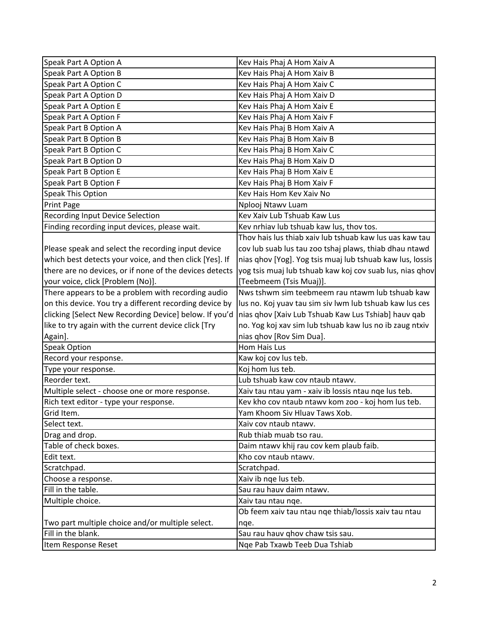| Speak Part A Option A                                   | Kev Hais Phaj A Hom Xaiv A                                |
|---------------------------------------------------------|-----------------------------------------------------------|
| Speak Part A Option B                                   | Kev Hais Phaj A Hom Xaiv B                                |
| Speak Part A Option C                                   | Kev Hais Phaj A Hom Xaiv C                                |
| Speak Part A Option D                                   | Kev Hais Phaj A Hom Xaiv D                                |
| Speak Part A Option E                                   | Kev Hais Phaj A Hom Xaiv E                                |
| Speak Part A Option F                                   | Kev Hais Phaj A Hom Xaiv F                                |
| Speak Part B Option A                                   | Kev Hais Phaj B Hom Xaiv A                                |
| Speak Part B Option B                                   | Kev Hais Phaj B Hom Xaiv B                                |
| Speak Part B Option C                                   | Kev Hais Phaj B Hom Xaiv C                                |
| Speak Part B Option D                                   | Kev Hais Phaj B Hom Xaiv D                                |
| Speak Part B Option E                                   | Kev Hais Phaj B Hom Xaiv E                                |
| Speak Part B Option F                                   | Kev Hais Phaj B Hom Xaiv F                                |
| Speak This Option                                       | Kev Hais Hom Kev Xaiv No                                  |
| Print Page                                              | Nplooj Ntawv Luam                                         |
| <b>Recording Input Device Selection</b>                 | Kev Xaiv Lub Tshuab Kaw Lus                               |
| Finding recording input devices, please wait.           | Kev nrhiav lub tshuab kaw lus, thov tos.                  |
|                                                         | Thov hais lus thiab xaiv lub tshuab kaw lus uas kaw tau   |
| Please speak and select the recording input device      | cov lub suab lus tau zoo tshaj plaws, thiab dhau ntawd    |
| which best detects your voice, and then click [Yes]. If | nias qhov [Yog]. Yog tsis muaj lub tshuab kaw lus, lossis |
| there are no devices, or if none of the devices detects | yog tsis muaj lub tshuab kaw koj cov suab lus, nias ghov  |
| your voice, click [Problem (No)].                       | [Teebmeem (Tsis Muaj)].                                   |
| There appears to be a problem with recording audio      | Nws tshwm sim teebmeem rau ntawm lub tshuab kaw           |
| on this device. You try a different recording device by | lus no. Koj yuav tau sim siv lwm lub tshuab kaw lus ces   |
| clicking [Select New Recording Device] below. If you'd  | nias qhov [Xaiv Lub Tshuab Kaw Lus Tshiab] hauv qab       |
| like to try again with the current device click [Try    | no. Yog koj xav sim lub tshuab kaw lus no ib zaug ntxiv   |
| Again].                                                 | nias qhov [Rov Sim Dua].                                  |
| Speak Option                                            | Hom Hais Lus                                              |
| Record your response.                                   | Kaw koj cov lus teb.                                      |
| Type your response.                                     | Koj hom lus teb.                                          |
| Reorder text.                                           | Lub tshuab kaw cov ntaub ntawv.                           |
| Multiple select - choose one or more response.          | Xaiv tau ntau yam - xaiv ib lossis ntau nge lus teb.      |
| Rich text editor - type your response.                  | Kev kho cov ntaub ntawv kom zoo - koj hom lus teb.        |
| Grid Item.                                              | Yam Khoom Siv Hluav Taws Xob.                             |
| Select text.                                            | Xaiv cov ntaub ntawv.                                     |
| Drag and drop.                                          | Rub thiab muab tso rau.                                   |
| Table of check boxes.                                   | Daim ntawv khij rau cov kem plaub faib.                   |
| Edit text.                                              | Kho cov ntaub ntawv.                                      |
| Scratchpad.                                             | Scratchpad.                                               |
| Choose a response.                                      | Xaiv ib nge lus teb.                                      |
| Fill in the table.                                      | Sau rau hauv daim ntawv.                                  |
| Multiple choice.                                        | Xaiv tau ntau nqe.                                        |
|                                                         | Ob feem xaiv tau ntau nge thiab/lossis xaiv tau ntau      |
| Two part multiple choice and/or multiple select.        | nqe.                                                      |
| Fill in the blank.                                      | Sau rau hauv qhov chaw tsis sau.                          |
| Item Response Reset                                     | Nge Pab Txawb Teeb Dua Tshiab                             |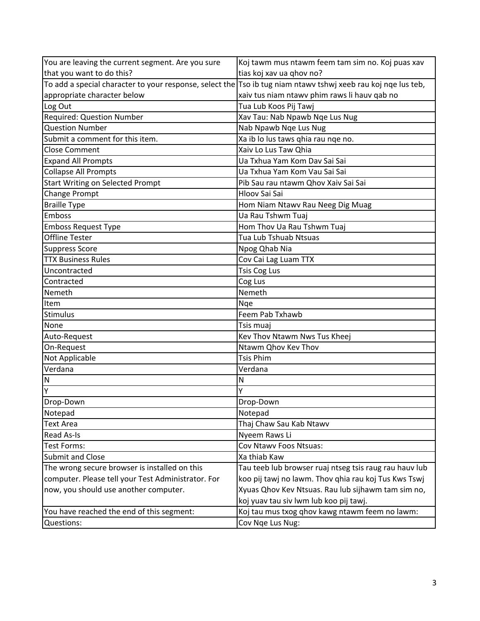| You are leaving the current segment. Are you sure                                                                 | Koj tawm mus ntawm feem tam sim no. Koj puas xav       |
|-------------------------------------------------------------------------------------------------------------------|--------------------------------------------------------|
| that you want to do this?                                                                                         | tias koj xav ua qhov no?                               |
| To add a special character to your response, select the $ T$ so ib tug niam ntawy tshwj xeeb rau koj nge lus teb, |                                                        |
| appropriate character below                                                                                       | xaiv tus niam ntawv phim raws li hauv qab no           |
| Log Out                                                                                                           | Tua Lub Koos Pij Tawj                                  |
| <b>Required: Question Number</b>                                                                                  | Xav Tau: Nab Npawb Nqe Lus Nug                         |
| <b>Question Number</b>                                                                                            | Nab Npawb Nqe Lus Nug                                  |
| Submit a comment for this item.                                                                                   | Xa ib lo lus taws qhia rau nqe no.                     |
| <b>Close Comment</b>                                                                                              | Xaiv Lo Lus Taw Qhia                                   |
| <b>Expand All Prompts</b>                                                                                         | Ua Txhua Yam Kom Dav Sai Sai                           |
| <b>Collapse All Prompts</b>                                                                                       | Ua Txhua Yam Kom Vau Sai Sai                           |
| <b>Start Writing on Selected Prompt</b>                                                                           | Pib Sau rau ntawm Qhov Xaiv Sai Sai                    |
| Change Prompt                                                                                                     | <b>Hloov Sai Sai</b>                                   |
| <b>Braille Type</b>                                                                                               | Hom Niam Ntawv Rau Neeg Dig Muag                       |
| Emboss                                                                                                            | Ua Rau Tshwm Tuaj                                      |
| <b>Emboss Request Type</b>                                                                                        | Hom Thov Ua Rau Tshwm Tuaj                             |
| <b>Offline Tester</b>                                                                                             | Tua Lub Tshuab Ntsuas                                  |
| <b>Suppress Score</b>                                                                                             | Npog Qhab Nia                                          |
| <b>TTX Business Rules</b>                                                                                         | Cov Cai Lag Luam TTX                                   |
| Uncontracted                                                                                                      | <b>Tsis Cog Lus</b>                                    |
| Contracted                                                                                                        | Cog Lus                                                |
| Nemeth                                                                                                            | Nemeth                                                 |
| Item                                                                                                              | Nge                                                    |
| Stimulus                                                                                                          | Feem Pab Txhawb                                        |
| None                                                                                                              | Tsis muaj                                              |
| Auto-Request                                                                                                      | Kev Thov Ntawm Nws Tus Kheej                           |
| On-Request                                                                                                        | Ntawm Qhov Kev Thov                                    |
| Not Applicable                                                                                                    | <b>Tsis Phim</b>                                       |
| Verdana                                                                                                           | Verdana                                                |
| N                                                                                                                 | N                                                      |
| Y                                                                                                                 |                                                        |
| Drop-Down                                                                                                         | Drop-Down                                              |
| Notepad                                                                                                           | Notepad                                                |
| <b>Text Area</b>                                                                                                  | Thaj Chaw Sau Kab Ntawv                                |
| <b>Read As-Is</b>                                                                                                 | Nyeem Raws Li                                          |
| <b>Test Forms:</b>                                                                                                | Cov Ntawv Foos Ntsuas:                                 |
| <b>Submit and Close</b>                                                                                           | Xa thiab Kaw                                           |
| The wrong secure browser is installed on this                                                                     | Tau teeb lub browser ruaj ntseg tsis raug rau hauv lub |
| computer. Please tell your Test Administrator. For                                                                | koo pij tawj no lawm. Thov qhia rau koj Tus Kws Tswj   |
| now, you should use another computer.                                                                             | Xyuas Qhov Kev Ntsuas. Rau lub sijhawm tam sim no,     |
|                                                                                                                   | koj yuav tau siv lwm lub koo pij tawj.                 |
| You have reached the end of this segment:                                                                         | Koj tau mus txog qhov kawg ntawm feem no lawm:         |
| Questions:                                                                                                        | Cov Nqe Lus Nug:                                       |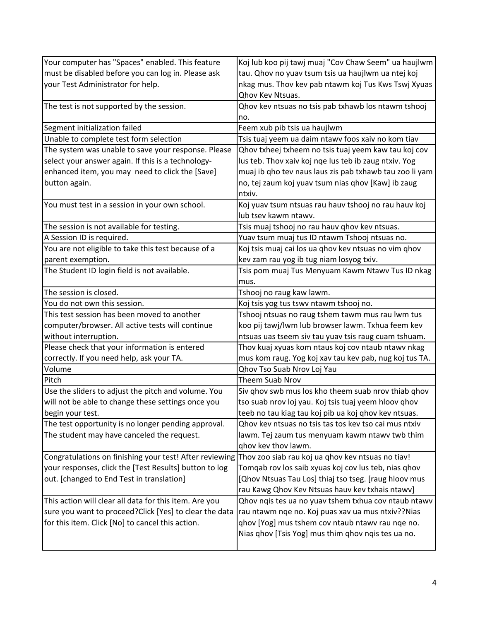| Your computer has "Spaces" enabled. This feature                                                          | Koj lub koo pij tawj muaj "Cov Chaw Seem" ua haujlwm    |
|-----------------------------------------------------------------------------------------------------------|---------------------------------------------------------|
| must be disabled before you can log in. Please ask                                                        | tau. Qhov no yuav tsum tsis ua haujlwm ua ntej koj      |
| your Test Administrator for help.                                                                         | nkag mus. Thov kev pab ntawm koj Tus Kws Tswj Xyuas     |
|                                                                                                           | Qhov Kev Ntsuas.                                        |
| The test is not supported by the session.                                                                 | Qhov kev ntsuas no tsis pab txhawb los ntawm tshooj     |
|                                                                                                           | no.                                                     |
| Segment initialization failed                                                                             | Feem xub pib tsis ua haujlwm                            |
| Unable to complete test form selection                                                                    | Tsis tuaj yeem ua daim ntawv foos xaiv no kom tiav      |
| The system was unable to save your response. Please                                                       | Qhov txheej txheem no tsis tuaj yeem kaw tau koj cov    |
| select your answer again. If this is a technology-                                                        | lus teb. Thov xaiv koj nge lus teb ib zaug ntxiv. Yog   |
| enhanced item, you may need to click the [Save]                                                           | muaj ib qho tev naus laus zis pab txhawb tau zoo li yam |
| button again.                                                                                             | no, tej zaum koj yuav tsum nias qhov [Kaw] ib zaug      |
|                                                                                                           | ntxiv.                                                  |
| You must test in a session in your own school.                                                            | Koj yuav tsum ntsuas rau hauv tshooj no rau hauv koj    |
|                                                                                                           | lub tsev kawm ntawv.                                    |
| The session is not available for testing.                                                                 | Tsis muaj tshooj no rau hauv qhov kev ntsuas.           |
| A Session ID is required.                                                                                 | Yuav tsum muaj tus ID ntawm Tshooj ntsuas no.           |
| You are not eligible to take this test because of a                                                       | Koj tsis muaj cai los ua qhov kev ntsuas no vim qhov    |
| parent exemption.                                                                                         | kev zam rau yog ib tug niam losyog txiv.                |
| The Student ID login field is not available.                                                              | Tsis pom muaj Tus Menyuam Kawm Ntawy Tus ID nkag        |
|                                                                                                           | mus.                                                    |
| The session is closed.                                                                                    | Tshooj no raug kaw lawm.                                |
| You do not own this session.                                                                              | Koj tsis yog tus tswv ntawm tshooj no.                  |
| This test session has been moved to another                                                               | Tshooj ntsuas no raug tshem tawm mus rau lwm tus        |
| computer/browser. All active tests will continue                                                          | koo pij tawj/lwm lub browser lawm. Txhua feem kev       |
| without interruption.                                                                                     | ntsuas uas tseem siv tau yuav tsis raug cuam tshuam.    |
| Please check that your information is entered                                                             | Thov kuaj xyuas kom ntaus koj cov ntaub ntawv nkag      |
| correctly. If you need help, ask your TA.                                                                 | mus kom raug. Yog koj xav tau kev pab, nug koj tus TA.  |
| Volume                                                                                                    | Qhov Tso Suab Nrov Loj Yau                              |
| Pitch                                                                                                     | <b>Theem Suab Nrov</b>                                  |
| Use the sliders to adjust the pitch and volume. You                                                       | Siv qhov swb mus los kho theem suab nrov thiab qhov     |
| will not be able to change these settings once you                                                        | tso suab nrov loj yau. Koj tsis tuaj yeem hloov qhov    |
| begin your test.                                                                                          | teeb no tau kiag tau koj pib ua koj qhov kev ntsuas.    |
| The test opportunity is no longer pending approval.                                                       | Qhov kev ntsuas no tsis tas tos kev tso cai mus ntxiv   |
| The student may have canceled the request.                                                                | lawm. Tej zaum tus menyuam kawm ntawy twb thim          |
|                                                                                                           | ghov kev thov lawm.                                     |
| Congratulations on finishing your test! After reviewing Thov zoo siab rau koj ua qhov kev ntsuas no tiav! |                                                         |
| your responses, click the [Test Results] button to log                                                    | Tomqab rov los saib xyuas koj cov lus teb, nias qhov    |
| out. [changed to End Test in translation]                                                                 | [Qhov Ntsuas Tau Los] thiaj tso tseg. [raug hloov mus   |
|                                                                                                           | rau Kawg Qhov Kev Ntsuas hauv kev txhais ntawv]         |
| This action will clear all data for this item. Are you                                                    | Qhov nqis tes ua no yuav tshem txhua cov ntaub ntawv    |
| sure you want to proceed? Click [Yes] to clear the data                                                   | rau ntawm nqe no. Koj puas xav ua mus ntxiv??Nias       |
| for this item. Click [No] to cancel this action.                                                          | qhov [Yog] mus tshem cov ntaub ntawv rau nqe no.        |
|                                                                                                           | Nias qhov [Tsis Yog] mus thim qhov nqis tes ua no.      |
|                                                                                                           |                                                         |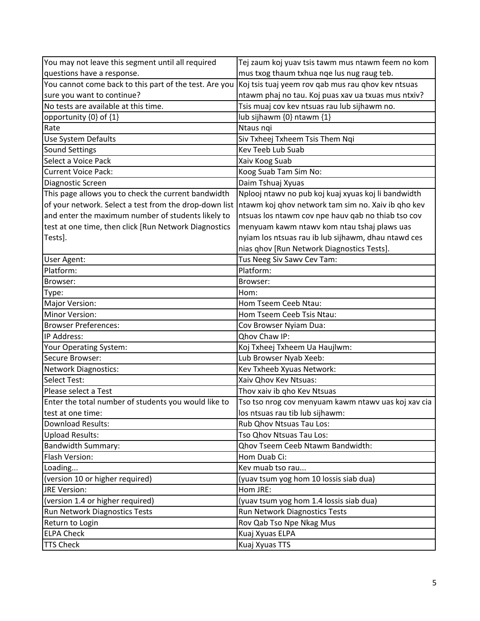| You may not leave this segment until all required      | Tej zaum koj yuav tsis tawm mus ntawm feem no kom   |
|--------------------------------------------------------|-----------------------------------------------------|
| questions have a response.                             | mus txog thaum txhua nqe lus nug raug teb.          |
| You cannot come back to this part of the test. Are you | Koj tsis tuaj yeem rov gab mus rau ghov kev ntsuas  |
| sure you want to continue?                             | ntawm phaj no tau. Koj puas xav ua txuas mus ntxiv? |
| No tests are available at this time.                   | Tsis muaj cov kev ntsuas rau lub sijhawm no.        |
| opportunity {0} of {1}                                 | lub sijhawm {0} ntawm {1}                           |
| Rate                                                   | Ntaus ngi                                           |
| <b>Use System Defaults</b>                             | Siv Txheej Txheem Tsis Them Nqi                     |
| Sound Settings                                         | <b>Kev Teeb Lub Suab</b>                            |
| Select a Voice Pack                                    | Xaiv Koog Suab                                      |
| <b>Current Voice Pack:</b>                             | Koog Suab Tam Sim No:                               |
| Diagnostic Screen                                      | Daim Tshuaj Xyuas                                   |
| This page allows you to check the current bandwidth    | Nplooj ntawv no pub koj kuaj xyuas koj li bandwidth |
| of your network. Select a test from the drop-down list | Intawm koj qhov network tam sim no. Xaiv ib qho kev |
| and enter the maximum number of students likely to     | ntsuas los ntawm cov npe hauv qab no thiab tso cov  |
| test at one time, then click [Run Network Diagnostics  | menyuam kawm ntawv kom ntau tshaj plaws uas         |
| Tests].                                                | nyiam los ntsuas rau ib lub sijhawm, dhau ntawd ces |
|                                                        | nias qhov [Run Network Diagnostics Tests].          |
| <b>User Agent:</b>                                     | Tus Neeg Siv Sawv Cev Tam:                          |
| Platform:                                              | Platform:                                           |
| Browser:                                               | Browser:                                            |
| Type:                                                  | Hom:                                                |
| Major Version:                                         | Hom Tseem Ceeb Ntau:                                |
| Minor Version:                                         | Hom Tseem Ceeb Tsis Ntau:                           |
| <b>Browser Preferences:</b>                            | Cov Browser Nyiam Dua:                              |
| IP Address:                                            | Qhov Chaw IP:                                       |
| Your Operating System:                                 | Koj Txheej Txheem Ua Haujlwm:                       |
| Secure Browser:                                        | Lub Browser Nyab Xeeb:                              |
| Network Diagnostics:                                   | Kev Txheeb Xyuas Network:                           |
| Select Test:                                           | Xaiv Qhov Kev Ntsuas:                               |
| Please select a Test                                   | Thov xaiv ib qho Kev Ntsuas                         |
| Enter the total number of students you would like to   | Tso tso nrog cov menyuam kawm ntawv uas koj xav cia |
| test at one time:                                      | los ntsuas rau tib lub sijhawm:                     |
| <b>Download Results:</b>                               | Rub Qhov Ntsuas Tau Los:                            |
| <b>Upload Results:</b>                                 | Tso Qhov Ntsuas Tau Los:                            |
| <b>Bandwidth Summary:</b>                              | <b>Qhov Tseem Ceeb Ntawm Bandwidth:</b>             |
| Flash Version:                                         | Hom Duab Ci:                                        |
| Loading                                                | Kev muab tso rau                                    |
| (version 10 or higher required)                        | (yuav tsum yog hom 10 lossis siab dua)              |
| JRE Version:                                           | Hom JRE:                                            |
| (version 1.4 or higher required)                       | (yuav tsum yog hom 1.4 lossis siab dua)             |
| Run Network Diagnostics Tests                          | Run Network Diagnostics Tests                       |
| Return to Login                                        | Rov Qab Tso Npe Nkag Mus                            |
| <b>ELPA Check</b>                                      | Kuaj Xyuas ELPA                                     |
| <b>TTS Check</b>                                       | Kuaj Xyuas TTS                                      |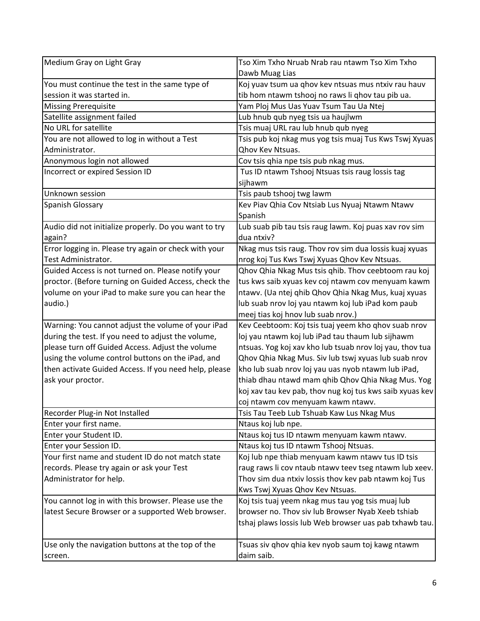| Dawb Muag Lias<br>Koj yuav tsum ua qhov kev ntsuas mus ntxiv rau hauv<br>tib hom ntawm tshooj no raws li qhov tau pib ua.<br>Yam Ploj Mus Uas Yuav Tsum Tau Ua Ntej<br>Lub hnub qub nyeg tsis ua haujlwm<br>Tsis muaj URL rau lub hnub qub nyeg<br>Tsis pub koj nkag mus yog tsis muaj Tus Kws Tswj Xyuas<br><b>Qhov Kev Ntsuas.</b><br>Cov tsis qhia npe tsis pub nkag mus.<br>Tus ID ntawm Tshooj Ntsuas tsis raug lossis tag<br>sijhawm<br>Tsis paub tshooj twg lawm<br>Kev Piav Qhia Cov Ntsiab Lus Nyuaj Ntawm Ntawv<br>Spanish<br>Lub suab pib tau tsis raug lawm. Koj puas xav rov sim<br>dua ntxiv?<br>Nkag mus tsis raug. Thov rov sim dua lossis kuaj xyuas<br>nrog koj Tus Kws Tswj Xyuas Qhov Kev Ntsuas.<br>Qhov Qhia Nkag Mus tsis qhib. Thov ceebtoom rau koj<br>proctor. (Before turning on Guided Access, check the<br>tus kws saib xyuas kev coj ntawm cov menyuam kawm<br>ntawv. (Ua ntej qhib Qhov Qhia Nkag Mus, kuaj xyuas<br>lub suab nrov loj yau ntawm koj lub iPad kom paub<br>meej tias koj hnov lub suab nrov.)<br>Warning: You cannot adjust the volume of your iPad<br>Kev Ceebtoom: Koj tsis tuaj yeem kho qhov suab nrov<br>during the test. If you need to adjust the volume,<br>loj yau ntawm koj lub iPad tau thaum lub sijhawm<br>please turn off Guided Access. Adjust the volume<br>ntsuas. Yog koj xav kho lub tsuab nrov loj yau, thov tua<br>using the volume control buttons on the iPad, and<br>Qhov Qhia Nkag Mus. Siv lub tswj xyuas lub suab nrov<br>then activate Guided Access. If you need help, please<br>kho lub suab nrov loj yau uas nyob ntawm lub iPad,<br>thiab dhau ntawd mam qhib Qhov Qhia Nkag Mus. Yog<br>ask your proctor.<br>koj xav tau kev pab, thov nug koj tus kws saib xyuas kev<br>coj ntawm cov menyuam kawm ntawv.<br>Recorder Plug-in Not Installed<br>Tsis Tau Teeb Lub Tshuab Kaw Lus Nkag Mus<br>Enter your first name.<br>Ntaus koj lub npe.<br>Enter your Student ID.<br>Ntaus koj tus ID ntawm menyuam kawm ntawv.<br>Enter your Session ID.<br>Ntaus koj tus ID ntawm Tshooj Ntsuas.<br>Your first name and student ID do not match state<br>Koj lub npe thiab menyuam kawm ntawy tus ID tsis<br>records. Please try again or ask your Test<br>raug raws li cov ntaub ntawv teev tseg ntawm lub xeev.<br>Administrator for help.<br>Thov sim dua ntxiv lossis thov kev pab ntawm koj Tus | Medium Gray on Light Gray                             | Tso Xim Txho Nruab Nrab rau ntawm Tso Xim Txho |
|-------------------------------------------------------------------------------------------------------------------------------------------------------------------------------------------------------------------------------------------------------------------------------------------------------------------------------------------------------------------------------------------------------------------------------------------------------------------------------------------------------------------------------------------------------------------------------------------------------------------------------------------------------------------------------------------------------------------------------------------------------------------------------------------------------------------------------------------------------------------------------------------------------------------------------------------------------------------------------------------------------------------------------------------------------------------------------------------------------------------------------------------------------------------------------------------------------------------------------------------------------------------------------------------------------------------------------------------------------------------------------------------------------------------------------------------------------------------------------------------------------------------------------------------------------------------------------------------------------------------------------------------------------------------------------------------------------------------------------------------------------------------------------------------------------------------------------------------------------------------------------------------------------------------------------------------------------------------------------------------------------------------------------------------------------------------------------------------------------------------------------------------------------------------------------------------------------------------------------------------------------------------------------------------------------------------------------------------------------------------------|-------------------------------------------------------|------------------------------------------------|
|                                                                                                                                                                                                                                                                                                                                                                                                                                                                                                                                                                                                                                                                                                                                                                                                                                                                                                                                                                                                                                                                                                                                                                                                                                                                                                                                                                                                                                                                                                                                                                                                                                                                                                                                                                                                                                                                                                                                                                                                                                                                                                                                                                                                                                                                                                                                                                         |                                                       |                                                |
|                                                                                                                                                                                                                                                                                                                                                                                                                                                                                                                                                                                                                                                                                                                                                                                                                                                                                                                                                                                                                                                                                                                                                                                                                                                                                                                                                                                                                                                                                                                                                                                                                                                                                                                                                                                                                                                                                                                                                                                                                                                                                                                                                                                                                                                                                                                                                                         | You must continue the test in the same type of        |                                                |
|                                                                                                                                                                                                                                                                                                                                                                                                                                                                                                                                                                                                                                                                                                                                                                                                                                                                                                                                                                                                                                                                                                                                                                                                                                                                                                                                                                                                                                                                                                                                                                                                                                                                                                                                                                                                                                                                                                                                                                                                                                                                                                                                                                                                                                                                                                                                                                         | session it was started in.                            |                                                |
|                                                                                                                                                                                                                                                                                                                                                                                                                                                                                                                                                                                                                                                                                                                                                                                                                                                                                                                                                                                                                                                                                                                                                                                                                                                                                                                                                                                                                                                                                                                                                                                                                                                                                                                                                                                                                                                                                                                                                                                                                                                                                                                                                                                                                                                                                                                                                                         | Missing Prerequisite                                  |                                                |
|                                                                                                                                                                                                                                                                                                                                                                                                                                                                                                                                                                                                                                                                                                                                                                                                                                                                                                                                                                                                                                                                                                                                                                                                                                                                                                                                                                                                                                                                                                                                                                                                                                                                                                                                                                                                                                                                                                                                                                                                                                                                                                                                                                                                                                                                                                                                                                         | Satellite assignment failed                           |                                                |
|                                                                                                                                                                                                                                                                                                                                                                                                                                                                                                                                                                                                                                                                                                                                                                                                                                                                                                                                                                                                                                                                                                                                                                                                                                                                                                                                                                                                                                                                                                                                                                                                                                                                                                                                                                                                                                                                                                                                                                                                                                                                                                                                                                                                                                                                                                                                                                         | No URL for satellite                                  |                                                |
|                                                                                                                                                                                                                                                                                                                                                                                                                                                                                                                                                                                                                                                                                                                                                                                                                                                                                                                                                                                                                                                                                                                                                                                                                                                                                                                                                                                                                                                                                                                                                                                                                                                                                                                                                                                                                                                                                                                                                                                                                                                                                                                                                                                                                                                                                                                                                                         | You are not allowed to log in without a Test          |                                                |
|                                                                                                                                                                                                                                                                                                                                                                                                                                                                                                                                                                                                                                                                                                                                                                                                                                                                                                                                                                                                                                                                                                                                                                                                                                                                                                                                                                                                                                                                                                                                                                                                                                                                                                                                                                                                                                                                                                                                                                                                                                                                                                                                                                                                                                                                                                                                                                         | Administrator.                                        |                                                |
|                                                                                                                                                                                                                                                                                                                                                                                                                                                                                                                                                                                                                                                                                                                                                                                                                                                                                                                                                                                                                                                                                                                                                                                                                                                                                                                                                                                                                                                                                                                                                                                                                                                                                                                                                                                                                                                                                                                                                                                                                                                                                                                                                                                                                                                                                                                                                                         | Anonymous login not allowed                           |                                                |
|                                                                                                                                                                                                                                                                                                                                                                                                                                                                                                                                                                                                                                                                                                                                                                                                                                                                                                                                                                                                                                                                                                                                                                                                                                                                                                                                                                                                                                                                                                                                                                                                                                                                                                                                                                                                                                                                                                                                                                                                                                                                                                                                                                                                                                                                                                                                                                         | Incorrect or expired Session ID                       |                                                |
|                                                                                                                                                                                                                                                                                                                                                                                                                                                                                                                                                                                                                                                                                                                                                                                                                                                                                                                                                                                                                                                                                                                                                                                                                                                                                                                                                                                                                                                                                                                                                                                                                                                                                                                                                                                                                                                                                                                                                                                                                                                                                                                                                                                                                                                                                                                                                                         |                                                       |                                                |
|                                                                                                                                                                                                                                                                                                                                                                                                                                                                                                                                                                                                                                                                                                                                                                                                                                                                                                                                                                                                                                                                                                                                                                                                                                                                                                                                                                                                                                                                                                                                                                                                                                                                                                                                                                                                                                                                                                                                                                                                                                                                                                                                                                                                                                                                                                                                                                         | Unknown session                                       |                                                |
|                                                                                                                                                                                                                                                                                                                                                                                                                                                                                                                                                                                                                                                                                                                                                                                                                                                                                                                                                                                                                                                                                                                                                                                                                                                                                                                                                                                                                                                                                                                                                                                                                                                                                                                                                                                                                                                                                                                                                                                                                                                                                                                                                                                                                                                                                                                                                                         | Spanish Glossary                                      |                                                |
|                                                                                                                                                                                                                                                                                                                                                                                                                                                                                                                                                                                                                                                                                                                                                                                                                                                                                                                                                                                                                                                                                                                                                                                                                                                                                                                                                                                                                                                                                                                                                                                                                                                                                                                                                                                                                                                                                                                                                                                                                                                                                                                                                                                                                                                                                                                                                                         |                                                       |                                                |
|                                                                                                                                                                                                                                                                                                                                                                                                                                                                                                                                                                                                                                                                                                                                                                                                                                                                                                                                                                                                                                                                                                                                                                                                                                                                                                                                                                                                                                                                                                                                                                                                                                                                                                                                                                                                                                                                                                                                                                                                                                                                                                                                                                                                                                                                                                                                                                         | Audio did not initialize properly. Do you want to try |                                                |
|                                                                                                                                                                                                                                                                                                                                                                                                                                                                                                                                                                                                                                                                                                                                                                                                                                                                                                                                                                                                                                                                                                                                                                                                                                                                                                                                                                                                                                                                                                                                                                                                                                                                                                                                                                                                                                                                                                                                                                                                                                                                                                                                                                                                                                                                                                                                                                         | again?                                                |                                                |
|                                                                                                                                                                                                                                                                                                                                                                                                                                                                                                                                                                                                                                                                                                                                                                                                                                                                                                                                                                                                                                                                                                                                                                                                                                                                                                                                                                                                                                                                                                                                                                                                                                                                                                                                                                                                                                                                                                                                                                                                                                                                                                                                                                                                                                                                                                                                                                         | Error logging in. Please try again or check with your |                                                |
|                                                                                                                                                                                                                                                                                                                                                                                                                                                                                                                                                                                                                                                                                                                                                                                                                                                                                                                                                                                                                                                                                                                                                                                                                                                                                                                                                                                                                                                                                                                                                                                                                                                                                                                                                                                                                                                                                                                                                                                                                                                                                                                                                                                                                                                                                                                                                                         | Test Administrator.                                   |                                                |
|                                                                                                                                                                                                                                                                                                                                                                                                                                                                                                                                                                                                                                                                                                                                                                                                                                                                                                                                                                                                                                                                                                                                                                                                                                                                                                                                                                                                                                                                                                                                                                                                                                                                                                                                                                                                                                                                                                                                                                                                                                                                                                                                                                                                                                                                                                                                                                         | Guided Access is not turned on. Please notify your    |                                                |
|                                                                                                                                                                                                                                                                                                                                                                                                                                                                                                                                                                                                                                                                                                                                                                                                                                                                                                                                                                                                                                                                                                                                                                                                                                                                                                                                                                                                                                                                                                                                                                                                                                                                                                                                                                                                                                                                                                                                                                                                                                                                                                                                                                                                                                                                                                                                                                         |                                                       |                                                |
|                                                                                                                                                                                                                                                                                                                                                                                                                                                                                                                                                                                                                                                                                                                                                                                                                                                                                                                                                                                                                                                                                                                                                                                                                                                                                                                                                                                                                                                                                                                                                                                                                                                                                                                                                                                                                                                                                                                                                                                                                                                                                                                                                                                                                                                                                                                                                                         | volume on your iPad to make sure you can hear the     |                                                |
|                                                                                                                                                                                                                                                                                                                                                                                                                                                                                                                                                                                                                                                                                                                                                                                                                                                                                                                                                                                                                                                                                                                                                                                                                                                                                                                                                                                                                                                                                                                                                                                                                                                                                                                                                                                                                                                                                                                                                                                                                                                                                                                                                                                                                                                                                                                                                                         | audio.)                                               |                                                |
|                                                                                                                                                                                                                                                                                                                                                                                                                                                                                                                                                                                                                                                                                                                                                                                                                                                                                                                                                                                                                                                                                                                                                                                                                                                                                                                                                                                                                                                                                                                                                                                                                                                                                                                                                                                                                                                                                                                                                                                                                                                                                                                                                                                                                                                                                                                                                                         |                                                       |                                                |
|                                                                                                                                                                                                                                                                                                                                                                                                                                                                                                                                                                                                                                                                                                                                                                                                                                                                                                                                                                                                                                                                                                                                                                                                                                                                                                                                                                                                                                                                                                                                                                                                                                                                                                                                                                                                                                                                                                                                                                                                                                                                                                                                                                                                                                                                                                                                                                         |                                                       |                                                |
|                                                                                                                                                                                                                                                                                                                                                                                                                                                                                                                                                                                                                                                                                                                                                                                                                                                                                                                                                                                                                                                                                                                                                                                                                                                                                                                                                                                                                                                                                                                                                                                                                                                                                                                                                                                                                                                                                                                                                                                                                                                                                                                                                                                                                                                                                                                                                                         |                                                       |                                                |
|                                                                                                                                                                                                                                                                                                                                                                                                                                                                                                                                                                                                                                                                                                                                                                                                                                                                                                                                                                                                                                                                                                                                                                                                                                                                                                                                                                                                                                                                                                                                                                                                                                                                                                                                                                                                                                                                                                                                                                                                                                                                                                                                                                                                                                                                                                                                                                         |                                                       |                                                |
|                                                                                                                                                                                                                                                                                                                                                                                                                                                                                                                                                                                                                                                                                                                                                                                                                                                                                                                                                                                                                                                                                                                                                                                                                                                                                                                                                                                                                                                                                                                                                                                                                                                                                                                                                                                                                                                                                                                                                                                                                                                                                                                                                                                                                                                                                                                                                                         |                                                       |                                                |
|                                                                                                                                                                                                                                                                                                                                                                                                                                                                                                                                                                                                                                                                                                                                                                                                                                                                                                                                                                                                                                                                                                                                                                                                                                                                                                                                                                                                                                                                                                                                                                                                                                                                                                                                                                                                                                                                                                                                                                                                                                                                                                                                                                                                                                                                                                                                                                         |                                                       |                                                |
|                                                                                                                                                                                                                                                                                                                                                                                                                                                                                                                                                                                                                                                                                                                                                                                                                                                                                                                                                                                                                                                                                                                                                                                                                                                                                                                                                                                                                                                                                                                                                                                                                                                                                                                                                                                                                                                                                                                                                                                                                                                                                                                                                                                                                                                                                                                                                                         |                                                       |                                                |
|                                                                                                                                                                                                                                                                                                                                                                                                                                                                                                                                                                                                                                                                                                                                                                                                                                                                                                                                                                                                                                                                                                                                                                                                                                                                                                                                                                                                                                                                                                                                                                                                                                                                                                                                                                                                                                                                                                                                                                                                                                                                                                                                                                                                                                                                                                                                                                         |                                                       |                                                |
|                                                                                                                                                                                                                                                                                                                                                                                                                                                                                                                                                                                                                                                                                                                                                                                                                                                                                                                                                                                                                                                                                                                                                                                                                                                                                                                                                                                                                                                                                                                                                                                                                                                                                                                                                                                                                                                                                                                                                                                                                                                                                                                                                                                                                                                                                                                                                                         |                                                       |                                                |
|                                                                                                                                                                                                                                                                                                                                                                                                                                                                                                                                                                                                                                                                                                                                                                                                                                                                                                                                                                                                                                                                                                                                                                                                                                                                                                                                                                                                                                                                                                                                                                                                                                                                                                                                                                                                                                                                                                                                                                                                                                                                                                                                                                                                                                                                                                                                                                         |                                                       |                                                |
|                                                                                                                                                                                                                                                                                                                                                                                                                                                                                                                                                                                                                                                                                                                                                                                                                                                                                                                                                                                                                                                                                                                                                                                                                                                                                                                                                                                                                                                                                                                                                                                                                                                                                                                                                                                                                                                                                                                                                                                                                                                                                                                                                                                                                                                                                                                                                                         |                                                       |                                                |
|                                                                                                                                                                                                                                                                                                                                                                                                                                                                                                                                                                                                                                                                                                                                                                                                                                                                                                                                                                                                                                                                                                                                                                                                                                                                                                                                                                                                                                                                                                                                                                                                                                                                                                                                                                                                                                                                                                                                                                                                                                                                                                                                                                                                                                                                                                                                                                         |                                                       |                                                |
|                                                                                                                                                                                                                                                                                                                                                                                                                                                                                                                                                                                                                                                                                                                                                                                                                                                                                                                                                                                                                                                                                                                                                                                                                                                                                                                                                                                                                                                                                                                                                                                                                                                                                                                                                                                                                                                                                                                                                                                                                                                                                                                                                                                                                                                                                                                                                                         |                                                       |                                                |
|                                                                                                                                                                                                                                                                                                                                                                                                                                                                                                                                                                                                                                                                                                                                                                                                                                                                                                                                                                                                                                                                                                                                                                                                                                                                                                                                                                                                                                                                                                                                                                                                                                                                                                                                                                                                                                                                                                                                                                                                                                                                                                                                                                                                                                                                                                                                                                         |                                                       |                                                |
|                                                                                                                                                                                                                                                                                                                                                                                                                                                                                                                                                                                                                                                                                                                                                                                                                                                                                                                                                                                                                                                                                                                                                                                                                                                                                                                                                                                                                                                                                                                                                                                                                                                                                                                                                                                                                                                                                                                                                                                                                                                                                                                                                                                                                                                                                                                                                                         |                                                       |                                                |
|                                                                                                                                                                                                                                                                                                                                                                                                                                                                                                                                                                                                                                                                                                                                                                                                                                                                                                                                                                                                                                                                                                                                                                                                                                                                                                                                                                                                                                                                                                                                                                                                                                                                                                                                                                                                                                                                                                                                                                                                                                                                                                                                                                                                                                                                                                                                                                         |                                                       |                                                |
| Kws Tswj Xyuas Qhov Kev Ntsuas.                                                                                                                                                                                                                                                                                                                                                                                                                                                                                                                                                                                                                                                                                                                                                                                                                                                                                                                                                                                                                                                                                                                                                                                                                                                                                                                                                                                                                                                                                                                                                                                                                                                                                                                                                                                                                                                                                                                                                                                                                                                                                                                                                                                                                                                                                                                                         |                                                       |                                                |
| Koj tsis tuaj yeem nkag mus tau yog tsis muaj lub                                                                                                                                                                                                                                                                                                                                                                                                                                                                                                                                                                                                                                                                                                                                                                                                                                                                                                                                                                                                                                                                                                                                                                                                                                                                                                                                                                                                                                                                                                                                                                                                                                                                                                                                                                                                                                                                                                                                                                                                                                                                                                                                                                                                                                                                                                                       | You cannot log in with this browser. Please use the   |                                                |
| browser no. Thov siv lub Browser Nyab Xeeb tshiab                                                                                                                                                                                                                                                                                                                                                                                                                                                                                                                                                                                                                                                                                                                                                                                                                                                                                                                                                                                                                                                                                                                                                                                                                                                                                                                                                                                                                                                                                                                                                                                                                                                                                                                                                                                                                                                                                                                                                                                                                                                                                                                                                                                                                                                                                                                       | latest Secure Browser or a supported Web browser.     |                                                |
| tshaj plaws lossis lub Web browser uas pab txhawb tau.                                                                                                                                                                                                                                                                                                                                                                                                                                                                                                                                                                                                                                                                                                                                                                                                                                                                                                                                                                                                                                                                                                                                                                                                                                                                                                                                                                                                                                                                                                                                                                                                                                                                                                                                                                                                                                                                                                                                                                                                                                                                                                                                                                                                                                                                                                                  |                                                       |                                                |
|                                                                                                                                                                                                                                                                                                                                                                                                                                                                                                                                                                                                                                                                                                                                                                                                                                                                                                                                                                                                                                                                                                                                                                                                                                                                                                                                                                                                                                                                                                                                                                                                                                                                                                                                                                                                                                                                                                                                                                                                                                                                                                                                                                                                                                                                                                                                                                         |                                                       |                                                |
| Tsuas siv qhov qhia kev nyob saum toj kawg ntawm                                                                                                                                                                                                                                                                                                                                                                                                                                                                                                                                                                                                                                                                                                                                                                                                                                                                                                                                                                                                                                                                                                                                                                                                                                                                                                                                                                                                                                                                                                                                                                                                                                                                                                                                                                                                                                                                                                                                                                                                                                                                                                                                                                                                                                                                                                                        | Use only the navigation buttons at the top of the     |                                                |
| daim saib.                                                                                                                                                                                                                                                                                                                                                                                                                                                                                                                                                                                                                                                                                                                                                                                                                                                                                                                                                                                                                                                                                                                                                                                                                                                                                                                                                                                                                                                                                                                                                                                                                                                                                                                                                                                                                                                                                                                                                                                                                                                                                                                                                                                                                                                                                                                                                              | screen.                                               |                                                |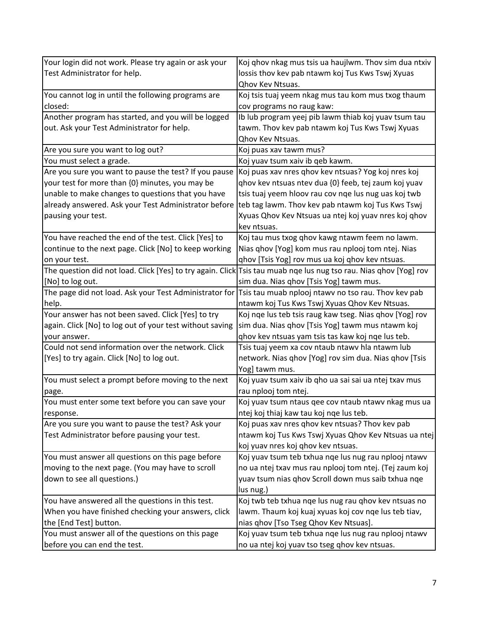| Your login did not work. Please try again or ask your    | Koj qhov nkag mus tsis ua haujlwm. Thov sim dua ntxiv                                                             |
|----------------------------------------------------------|-------------------------------------------------------------------------------------------------------------------|
| Test Administrator for help.                             | lossis thov kev pab ntawm koj Tus Kws Tswj Xyuas                                                                  |
|                                                          | Qhov Kev Ntsuas.                                                                                                  |
| You cannot log in until the following programs are       | Koj tsis tuaj yeem nkag mus tau kom mus txog thaum                                                                |
| closed:                                                  | cov programs no raug kaw:                                                                                         |
| Another program has started, and you will be logged      | Ib lub program yeej pib lawm thiab koj yuav tsum tau                                                              |
| out. Ask your Test Administrator for help.               | tawm. Thov kev pab ntawm koj Tus Kws Tswj Xyuas                                                                   |
|                                                          | Qhov Kev Ntsuas.                                                                                                  |
| Are you sure you want to log out?                        | Koj puas xav tawm mus?                                                                                            |
| You must select a grade.                                 | Koj yuav tsum xaiv ib qeb kawm.                                                                                   |
| Are you sure you want to pause the test? If you pause    | Koj puas xav nres ghov kev ntsuas? Yog koj nres koj                                                               |
| your test for more than {0} minutes, you may be          | qhov kev ntsuas ntev dua {0} feeb, tej zaum koj yuav                                                              |
| unable to make changes to questions that you have        | tsis tuaj yeem hloov rau cov nge lus nug uas koj twb                                                              |
| already answered. Ask your Test Administrator before     | teb tag lawm. Thov kev pab ntawm koj Tus Kws Tswj                                                                 |
| pausing your test.                                       | Xyuas Qhov Kev Ntsuas ua ntej koj yuav nres koj qhov                                                              |
|                                                          | kev ntsuas.                                                                                                       |
| You have reached the end of the test. Click [Yes] to     | Koj tau mus txog qhov kawg ntawm feem no lawm.                                                                    |
| continue to the next page. Click [No] to keep working    | Nias qhov [Yog] kom mus rau nplooj tom ntej. Nias                                                                 |
| on your test.                                            | ghov [Tsis Yog] rov mus ua koj ghov kev ntsuas.                                                                   |
|                                                          | The question did not load. Click [Yes] to try again. Click Tsis tau muab nge lus nug tso rau. Nias ghov [Yog] rov |
| [No] to log out.                                         | sim dua. Nias qhov [Tsis Yog] tawm mus.                                                                           |
| The page did not load. Ask your Test Administrator for   | Tsis tau muab nplooj ntawy no tso rau. Thov kev pab                                                               |
| help.                                                    | ntawm koj Tus Kws Tswj Xyuas Qhov Kev Ntsuas.                                                                     |
| Your answer has not been saved. Click [Yes] to try       | Koj nge lus teb tsis raug kaw tseg. Nias qhov [Yog] rov                                                           |
| again. Click [No] to log out of your test without saving | sim dua. Nias qhov [Tsis Yog] tawm mus ntawm koj                                                                  |
| your answer.                                             | ghov kev ntsuas yam tsis tas kaw koj nge lus teb.                                                                 |
| Could not send information over the network. Click       | Tsis tuaj yeem xa cov ntaub ntawv hla ntawm lub                                                                   |
| [Yes] to try again. Click [No] to log out.               | network. Nias qhov [Yog] rov sim dua. Nias qhov [Tsis                                                             |
|                                                          | Yog] tawm mus.                                                                                                    |
| You must select a prompt before moving to the next       | Koj yuav tsum xaiv ib qho ua sai sai ua ntej txav mus                                                             |
| page.                                                    | rau nplooj tom ntej.                                                                                              |
| You must enter some text before you can save your        | Koj yuav tsum ntaus qee cov ntaub ntawv nkag mus ua                                                               |
| response.                                                | ntej koj thiaj kaw tau koj nge lus teb.                                                                           |
| Are you sure you want to pause the test? Ask your        | Koj puas xav nres qhov kev ntsuas? Thov kev pab                                                                   |
| Test Administrator before pausing your test.             | ntawm koj Tus Kws Tswj Xyuas Qhov Kev Ntsuas ua ntej                                                              |
|                                                          | koj yuav nres koj qhov kev ntsuas.                                                                                |
| You must answer all questions on this page before        | Koj yuav tsum teb txhua nqe lus nug rau nplooj ntawv                                                              |
| moving to the next page. (You may have to scroll         | no ua ntej txav mus rau nplooj tom ntej. (Tej zaum koj                                                            |
| down to see all questions.)                              | yuav tsum nias qhov Scroll down mus saib txhua nqe                                                                |
|                                                          | lus nug.)                                                                                                         |
| You have answered all the questions in this test.        | Koj twb teb txhua nge lus nug rau ghov kev ntsuas no                                                              |
| When you have finished checking your answers, click      | lawm. Thaum koj kuaj xyuas koj cov nqe lus teb tiav,                                                              |
| the [End Test] button.                                   | nias qhov [Tso Tseg Qhov Kev Ntsuas].                                                                             |
| You must answer all of the questions on this page        | Koj yuav tsum teb txhua nqe lus nug rau nplooj ntawv                                                              |
| before you can end the test.                             | no ua ntej koj yuav tso tseg qhov kev ntsuas.                                                                     |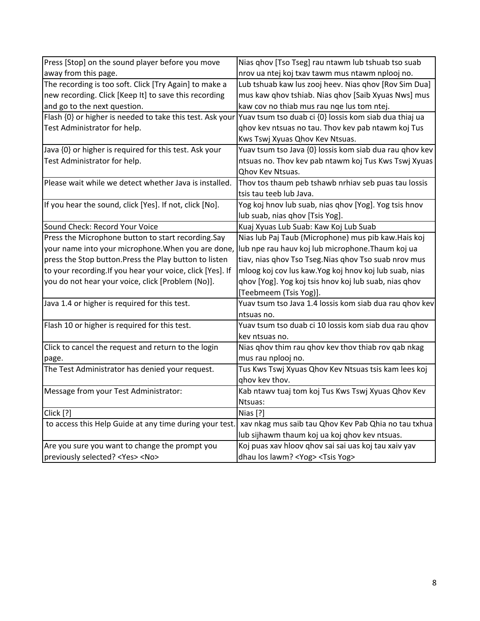| Press [Stop] on the sound player before you move           | Nias qhov [Tso Tseg] rau ntawm lub tshuab tso suab      |
|------------------------------------------------------------|---------------------------------------------------------|
| away from this page.                                       | nrov ua ntej koj txav tawm mus ntawm nplooj no.         |
| The recording is too soft. Click [Try Again] to make a     | Lub tshuab kaw lus zooj heev. Nias qhov [Rov Sim Dua]   |
| new recording. Click [Keep It] to save this recording      | mus kaw qhov tshiab. Nias qhov [Saib Xyuas Nws] mus     |
| and go to the next question.                               | kaw cov no thiab mus rau nge lus tom ntej.              |
| Flash {0} or higher is needed to take this test. Ask your  | Yuav tsum tso duab ci {0} lossis kom siab dua thiaj ua  |
| Test Administrator for help.                               | ghov kev ntsuas no tau. Thov kev pab ntawm koj Tus      |
|                                                            | Kws Tswj Xyuas Qhov Kev Ntsuas.                         |
| Java {0} or higher is required for this test. Ask your     | Yuav tsum tso Java {0} lossis kom siab dua rau qhov kev |
| Test Administrator for help.                               | ntsuas no. Thov kev pab ntawm koj Tus Kws Tswj Xyuas    |
|                                                            | <b>Ohov Kev Ntsuas.</b>                                 |
| Please wait while we detect whether Java is installed.     | Thov tos thaum peb tshawb nrhiav seb puas tau lossis    |
|                                                            | tsis tau teeb lub Java.                                 |
| If you hear the sound, click [Yes]. If not, click [No].    | Yog koj hnov lub suab, nias qhov [Yog]. Yog tsis hnov   |
|                                                            | lub suab, nias qhov [Tsis Yog].                         |
| Sound Check: Record Your Voice                             | Kuaj Xyuas Lub Suab: Kaw Koj Lub Suab                   |
| Press the Microphone button to start recording.Say         | Nias lub Paj Taub (Microphone) mus pib kaw.Hais koj     |
| your name into your microphone. When you are done,         | lub npe rau hauv koj lub microphone. Thaum koj ua       |
| press the Stop button. Press the Play button to listen     | tiav, nias qhov Tso Tseg. Nias qhov Tso suab nrov mus   |
| to your recording. If you hear your voice, click [Yes]. If | mloog koj cov lus kaw. Yog koj hnov koj lub suab, nias  |
| you do not hear your voice, click [Problem (No)].          | qhov [Yog]. Yog koj tsis hnov koj lub suab, nias qhov   |
|                                                            | [Teebmeem (Tsis Yog)].                                  |
| Java 1.4 or higher is required for this test.              | Yuav tsum tso Java 1.4 lossis kom siab dua rau ghov kev |
|                                                            | ntsuas no.                                              |
| Flash 10 or higher is required for this test.              | Yuav tsum tso duab ci 10 lossis kom siab dua rau qhov   |
|                                                            | key ntsuas no.                                          |
| Click to cancel the request and return to the login        | Nias qhov thim rau qhov kev thov thiab rov qab nkag     |
| page.                                                      | mus rau nplooj no.                                      |
| The Test Administrator has denied your request.            | Tus Kws Tswj Xyuas Qhov Kev Ntsuas tsis kam lees koj    |
|                                                            | qhov kev thov.                                          |
| Message from your Test Administrator:                      | Kab ntawv tuaj tom koj Tus Kws Tswj Xyuas Qhov Kev      |
|                                                            | Ntsuas:                                                 |
| Click [?]                                                  | Nias [?]                                                |
| to access this Help Guide at any time during your test.    | xav nkag mus saib tau Qhov Kev Pab Qhia no tau txhua    |
|                                                            | lub sijhawm thaum koj ua koj qhov kev ntsuas.           |
| Are you sure you want to change the prompt you             | Koj puas xav hloov qhov sai sai uas koj tau xaiv yav    |
| previously selected? <yes> <no></no></yes>                 | dhau los lawm? < Yog >< Tsis Yog >                      |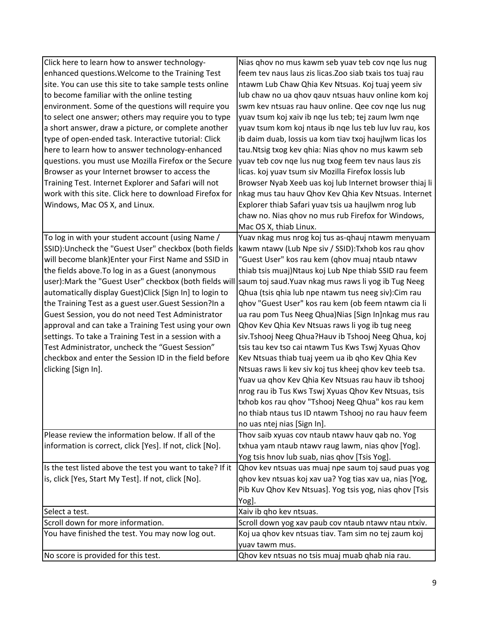| Click here to learn how to answer technology-                                                               | Nias ghov no mus kawm seb yuav teb cov nge lus nug        |
|-------------------------------------------------------------------------------------------------------------|-----------------------------------------------------------|
| enhanced questions. Welcome to the Training Test                                                            | feem tev naus laus zis licas. Zoo siab txais tos tuaj rau |
| site. You can use this site to take sample tests online                                                     | ntawm Lub Chaw Qhia Kev Ntsuas. Koj tuaj yeem siv         |
| to become familiar with the online testing                                                                  | lub chaw no ua qhov qauv ntsuas hauv online kom koj       |
| environment. Some of the questions will require you                                                         | swm kev ntsuas rau hauv online. Qee cov nqe lus nug       |
| to select one answer; others may require you to type                                                        | yuav tsum koj xaiv ib nge lus teb; tej zaum lwm nge       |
| a short answer, draw a picture, or complete another                                                         | yuav tsum kom koj ntaus ib nge lus teb luv luv rau, kos   |
| type of open-ended task. Interactive tutorial: Click                                                        | ib daim duab, lossis ua kom tiav txoj haujlwm licas los   |
| here to learn how to answer technology-enhanced                                                             | tau.Ntsig txog kev qhia: Nias qhov no mus kawm seb        |
| questions. you must use Mozilla Firefox or the Secure                                                       | yuav teb cov nqe lus nug txog feem tev naus laus zis      |
| Browser as your Internet browser to access the                                                              | licas. koj yuav tsum siv Mozilla Firefox lossis lub       |
| Training Test. Internet Explorer and Safari will not                                                        | Browser Nyab Xeeb uas koj lub Internet browser thiaj li   |
| work with this site. Click here to download Firefox for                                                     | nkag mus tau hauv Qhov Kev Qhia Kev Ntsuas. Internet      |
| Windows, Mac OS X, and Linux.                                                                               | Explorer thiab Safari yuav tsis ua haujlwm nrog lub       |
|                                                                                                             | chaw no. Nias qhov no mus rub Firefox for Windows,        |
|                                                                                                             | Mac OS X, thiab Linux.                                    |
| To log in with your student account (using Name /                                                           | Yuav nkag mus nrog koj tus as-qhauj ntawm menyuam         |
| SSID):Uncheck the "Guest User" checkbox (both fields                                                        | kawm ntawv (Lub Npe siv / SSID): Txhob kos rau qhov       |
| will become blank) Enter your First Name and SSID in                                                        | "Guest User" kos rau kem (ghov muaj ntaub ntawv           |
| the fields above. To log in as a Guest (anonymous                                                           | thiab tsis muaj)Ntaus koj Lub Npe thiab SSID rau feem     |
| user):Mark the "Guest User" checkbox (both fields will  saum toj saud.Yuav nkag mus raws li yog ib Tug Neeg |                                                           |
| automatically display Guest) Click [Sign In] to login to                                                    | Qhua (tsis qhia lub npe ntawm tus neeg siv): Cim rau      |
| the Training Test as a guest user. Guest Session?In a                                                       | qhov "Guest User" kos rau kem (ob feem ntawm cia li       |
| Guest Session, you do not need Test Administrator                                                           | ua rau pom Tus Neeg Qhua) Nias [Sign In] nkag mus rau     |
| approval and can take a Training Test using your own                                                        | Qhov Kev Qhia Kev Ntsuas raws li yog ib tug neeg          |
| settings. To take a Training Test in a session with a                                                       | siv.Tshooj Neeg Qhua?Hauv ib Tshooj Neeg Qhua, koj        |
| Test Administrator, uncheck the "Guest Session"                                                             | tsis tau kev tso cai ntawm Tus Kws Tswj Xyuas Qhov        |
| checkbox and enter the Session ID in the field before                                                       | Kev Ntsuas thiab tuaj yeem ua ib qho Kev Qhia Kev         |
| clicking [Sign In].                                                                                         | Ntsuas raws li kev siv koj tus kheej qhov kev teeb tsa.   |
|                                                                                                             | Yuav ua qhov Kev Qhia Kev Ntsuas rau hauv ib tshooj       |
|                                                                                                             | nrog rau ib Tus Kws Tswj Xyuas Qhov Kev Ntsuas, tsis      |
|                                                                                                             | txhob kos rau qhov "Tshooj Neeg Qhua" kos rau kem         |
|                                                                                                             | no thiab ntaus tus ID ntawm Tshooj no rau hauv feem       |
|                                                                                                             | no uas ntej nias [Sign In].                               |
| Please review the information below. If all of the                                                          | Thov saib xyuas cov ntaub ntawv hauv qab no. Yog          |
| information is correct, click [Yes]. If not, click [No].                                                    | txhua yam ntaub ntawv raug lawm, nias qhov [Yog].         |
|                                                                                                             | Yog tsis hnov lub suab, nias qhov [Tsis Yog].             |
| Is the test listed above the test you want to take? If it                                                   | Qhov kev ntsuas uas muaj npe saum toj saud puas yog       |
| is, click [Yes, Start My Test]. If not, click [No].                                                         | qhov kev ntsuas koj xav ua? Yog tias xav ua, nias [Yog,   |
|                                                                                                             | Pib Kuv Qhov Kev Ntsuas]. Yog tsis yog, nias qhov [Tsis   |
|                                                                                                             | Yog].                                                     |
| Select a test.                                                                                              | Xaiv ib qho kev ntsuas.                                   |
| Scroll down for more information.                                                                           | Scroll down yog xav paub cov ntaub ntawv ntau ntxiv.      |
| You have finished the test. You may now log out.                                                            | Koj ua qhov kev ntsuas tiav. Tam sim no tej zaum koj      |
|                                                                                                             | yuav tawm mus.                                            |
| No score is provided for this test.                                                                         | Qhov kev ntsuas no tsis muaj muab qhab nia rau.           |
|                                                                                                             |                                                           |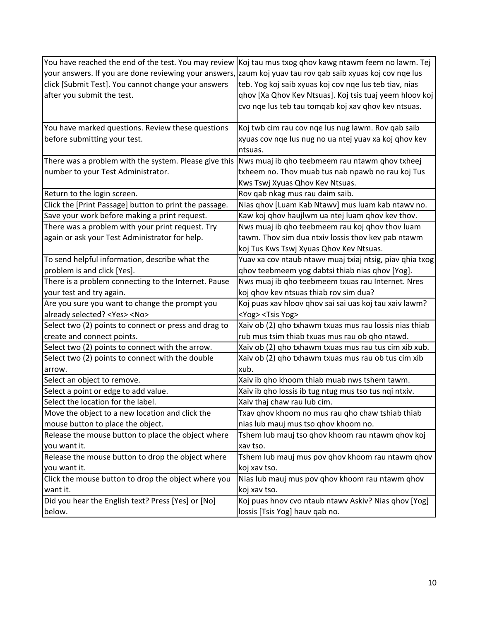|                                                                                                            | You have reached the end of the test. You may review Koj tau mus txog qhov kawg ntawm feem no lawm. Tej |
|------------------------------------------------------------------------------------------------------------|---------------------------------------------------------------------------------------------------------|
| your answers. If you are done reviewing your answers, zaum koj yuav tau rov qab saib xyuas koj cov nqe lus |                                                                                                         |
| click [Submit Test]. You cannot change your answers                                                        | teb. Yog koj saib xyuas koj cov nqe lus teb tiav, nias                                                  |
| after you submit the test.                                                                                 | qhov [Xa Qhov Kev Ntsuas]. Koj tsis tuaj yeem hloov koj                                                 |
|                                                                                                            | cvo nge lus teb tau tomgab koj xav ghov kev ntsuas.                                                     |
|                                                                                                            |                                                                                                         |
| You have marked questions. Review these questions                                                          | Koj twb cim rau cov nqe lus nug lawm. Rov qab saib                                                      |
| before submitting your test.                                                                               | xyuas cov nge lus nug no ua ntej yuav xa koj ghov kev                                                   |
|                                                                                                            | ntsuas.                                                                                                 |
| There was a problem with the system. Please give this Nws muaj ib qho teebmeem rau ntawm qhov txheej       |                                                                                                         |
| number to your Test Administrator.                                                                         | txheem no. Thov muab tus nab npawb no rau koj Tus                                                       |
|                                                                                                            | Kws Tswj Xyuas Qhov Kev Ntsuas.                                                                         |
| Return to the login screen.                                                                                | Rov qab nkag mus rau daim saib.                                                                         |
| Click the [Print Passage] button to print the passage.                                                     | Nias qhov [Luam Kab Ntawv] mus luam kab ntawv no.                                                       |
| Save your work before making a print request.                                                              | Kaw koj qhov haujlwm ua ntej luam qhov kev thov.                                                        |
| There was a problem with your print request. Try                                                           | Nws muaj ib qho teebmeem rau koj qhov thov luam                                                         |
| again or ask your Test Administrator for help.                                                             | tawm. Thov sim dua ntxiv lossis thov kev pab ntawm                                                      |
|                                                                                                            | koj Tus Kws Tswj Xyuas Qhov Kev Ntsuas.                                                                 |
| To send helpful information, describe what the                                                             | Yuav xa cov ntaub ntawv muaj txiaj ntsig, piav qhia txog                                                |
| problem is and click [Yes].                                                                                | ghov teebmeem yog dabtsi thiab nias ghov [Yog].                                                         |
| There is a problem connecting to the Internet. Pause                                                       | Nws muaj ib qho teebmeem txuas rau Internet. Nres                                                       |
| your test and try again.                                                                                   | koj qhov kev ntsuas thiab rov sim dua?                                                                  |
| Are you sure you want to change the prompt you                                                             | Koj puas xav hloov qhov sai sai uas koj tau xaiv lawm?                                                  |
| already selected? <yes> <no></no></yes>                                                                    | <yog> <tsis yog=""></tsis></yog>                                                                        |
| Select two (2) points to connect or press and drag to                                                      | Xaiv ob (2) qho txhawm txuas mus rau lossis nias thiab                                                  |
| create and connect points.                                                                                 | rub mus tsim thiab txuas mus rau ob qho ntawd.                                                          |
| Select two (2) points to connect with the arrow.                                                           | Xaiv ob (2) qho txhawm txuas mus rau tus cim xib xub.                                                   |
| Select two (2) points to connect with the double                                                           | Xaiv ob (2) qho txhawm txuas mus rau ob tus cim xib                                                     |
| arrow.                                                                                                     | xub.                                                                                                    |
| Select an object to remove.                                                                                | Xaiv ib qho khoom thiab muab nws tshem tawm.                                                            |
| Select a point or edge to add value.                                                                       | Xaiv ib qho lossis ib tug ntug mus tso tus nqi ntxiv.                                                   |
| Select the location for the label.                                                                         | Xaiv thaj chaw rau lub cim.                                                                             |
| Move the object to a new location and click the                                                            | Txav qhov khoom no mus rau qho chaw tshiab thiab                                                        |
| mouse button to place the object.                                                                          | nias lub mauj mus tso qhov khoom no.                                                                    |
| Release the mouse button to place the object where                                                         | Tshem lub mauj tso qhov khoom rau ntawm qhov koj                                                        |
| you want it.                                                                                               | xav tso.                                                                                                |
| Release the mouse button to drop the object where                                                          | Tshem lub mauj mus pov qhov khoom rau ntawm qhov                                                        |
| you want it.                                                                                               | koj xav tso.                                                                                            |
| Click the mouse button to drop the object where you                                                        | Nias lub mauj mus pov ghov khoom rau ntawm ghov                                                         |
| want it.                                                                                                   | koj xav tso.                                                                                            |
| Did you hear the English text? Press [Yes] or [No]                                                         | Koj puas hnov cvo ntaub ntawy Askiv? Nias qhov [Yog]                                                    |
| below.                                                                                                     | lossis [Tsis Yog] hauv qab no.                                                                          |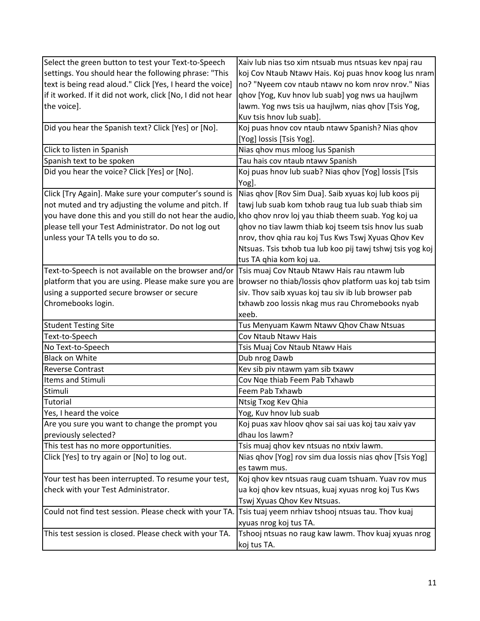| Select the green button to test your Text-to-Speech                                                        | Xaiv lub nias tso xim ntsuab mus ntsuas kev npaj rau                                                          |
|------------------------------------------------------------------------------------------------------------|---------------------------------------------------------------------------------------------------------------|
| settings. You should hear the following phrase: "This                                                      | koj Cov Ntaub Ntawv Hais. Koj puas hnov koog lus nram                                                         |
| text is being read aloud." Click [Yes, I heard the voice]                                                  | no? "Nyeem cov ntaub ntawv no kom nrov nrov." Nias                                                            |
| if it worked. If it did not work, click [No, I did not hear                                                | qhov [Yog, Kuv hnov lub suab] yog nws ua haujlwm                                                              |
| the voice].                                                                                                | lawm. Yog nws tsis ua haujlwm, nias qhov [Tsis Yog,                                                           |
|                                                                                                            | Kuv tsis hnov lub suab].                                                                                      |
| Did you hear the Spanish text? Click [Yes] or [No].                                                        | Koj puas hnov cov ntaub ntawy Spanish? Nias qhov                                                              |
|                                                                                                            | [Yog] lossis [Tsis Yog].                                                                                      |
| Click to listen in Spanish                                                                                 | Nias qhov mus mloog lus Spanish                                                                               |
| Spanish text to be spoken                                                                                  | Tau hais cov ntaub ntawv Spanish                                                                              |
| Did you hear the voice? Click [Yes] or [No].                                                               | Koj puas hnov lub suab? Nias qhov [Yog] lossis [Tsis                                                          |
|                                                                                                            | Yog].                                                                                                         |
| Click [Try Again]. Make sure your computer's sound is                                                      | Nias qhov [Rov Sim Dua]. Saib xyuas koj lub koos pij                                                          |
| not muted and try adjusting the volume and pitch. If                                                       | tawj lub suab kom txhob raug tua lub suab thiab sim                                                           |
| you have done this and you still do not hear the audio, kho qhov nrov loj yau thiab theem suab. Yog koj ua |                                                                                                               |
| please tell your Test Administrator. Do not log out                                                        | qhov no tiav lawm thiab koj tseem tsis hnov lus suab                                                          |
| unless your TA tells you to do so.                                                                         | nrov, thov qhia rau koj Tus Kws Tswj Xyuas Qhov Kev                                                           |
|                                                                                                            | Ntsuas. Tsis txhob tua lub koo pij tawj tshwj tsis yog koj                                                    |
|                                                                                                            | tus TA qhia kom koj ua.                                                                                       |
| Text-to-Speech is not available on the browser and/or Tsis muaj Cov Ntaub Ntawv Hais rau ntawm lub         |                                                                                                               |
|                                                                                                            | platform that you are using. Please make sure you are  browser no thiab/lossis qhov platform uas koj tab tsim |
| using a supported secure browser or secure                                                                 | siv. Thov saib xyuas koj tau siv ib lub browser pab                                                           |
| Chromebooks login.                                                                                         | txhawb zoo lossis nkag mus rau Chromebooks nyab                                                               |
|                                                                                                            | xeeb.                                                                                                         |
| <b>Student Testing Site</b>                                                                                | Tus Menyuam Kawm Ntawv Qhov Chaw Ntsuas                                                                       |
| Text-to-Speech                                                                                             | Cov Ntaub Ntawy Hais                                                                                          |
| No Text-to-Speech                                                                                          | Tsis Muaj Cov Ntaub Ntawv Hais                                                                                |
| <b>Black on White</b>                                                                                      | Dub nrog Dawb                                                                                                 |
| <b>Reverse Contrast</b>                                                                                    | Kev sib piv ntawm yam sib txawv                                                                               |
| <b>Items and Stimuli</b>                                                                                   | Cov Nqe thiab Feem Pab Txhawb                                                                                 |
| Stimuli                                                                                                    | Feem Pab Txhawb                                                                                               |
| Tutorial                                                                                                   | Ntsig Txog Kev Qhia                                                                                           |
| Yes, I heard the voice                                                                                     | Yog, Kuv hnov lub suab                                                                                        |
| Are you sure you want to change the prompt you                                                             | Koj puas xav hloov qhov sai sai uas koj tau xaiv yav                                                          |
| previously selected?                                                                                       | dhau los lawm?                                                                                                |
| This test has no more opportunities.                                                                       | Tsis muaj qhov kev ntsuas no ntxiv lawm.                                                                      |
| Click [Yes] to try again or [No] to log out.                                                               | Nias qhov [Yog] rov sim dua lossis nias qhov [Tsis Yog]                                                       |
|                                                                                                            | es tawm mus.                                                                                                  |
| Your test has been interrupted. To resume your test,                                                       | Koj qhov kev ntsuas raug cuam tshuam. Yuav rov mus                                                            |
| check with your Test Administrator.                                                                        | ua koj qhov kev ntsuas, kuaj xyuas nrog koj Tus Kws                                                           |
|                                                                                                            | Tswj Xyuas Qhov Kev Ntsuas.                                                                                   |
| Could not find test session. Please check with your TA. Tsis tuaj yeem nrhiav tshooj ntsuas tau. Thov kuaj |                                                                                                               |
|                                                                                                            | xyuas nrog koj tus TA.                                                                                        |
| This test session is closed. Please check with your TA.                                                    | Tshooj ntsuas no raug kaw lawm. Thov kuaj xyuas nrog                                                          |
|                                                                                                            | koj tus TA.                                                                                                   |